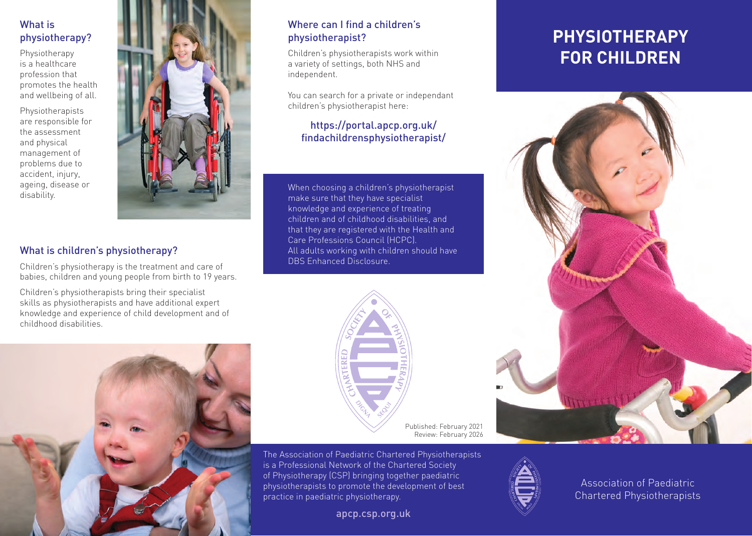### What is physiotherapy?

Physiotherapy is a healthcare profession that promotes the health and wellbeing of all.

Physiotherapists are responsible for the assessment and physical management of problems due to accident, injury, ageing, disease or disability.



## What is children's physiotherapy?

Children's physiotherapy is the treatment and care of babies, children and young people from birth to 19 years.

Children's physiotherapists bring their specialist skills as physiotherapists and have additional expert knowledge and experience of child development and of childhood disabilities.

# Where can I find a children's physiotherapist?

Children's physiotherapists work within a variety of settings, both NHS and independent.

You can search for a private or independant children's physiotherapist here:

### https://portal.apcp.org.uk/ findachildrensphysiotherapist/

When choosing a children's physiotherapist make sure that they have specialist knowledge and experience of treating children and of childhood disabilities, and that they are registered with the Health and Care Professions Council (HCPC). All adults working with children should have DBS Enhanced Disclosure.



The Association of Paediatric Chartered Physiotherapists is a Professional Network of the Chartered Society of Physiotherapy (CSP) bringing together paediatric physiotherapists to promote the development of best practice in paediatric physiotherapy.

apcp.csp.org.uk

# **PHYSIOTHERAPY FOR CHILDREN**





Association of Paediatric Chartered Physiotherapists